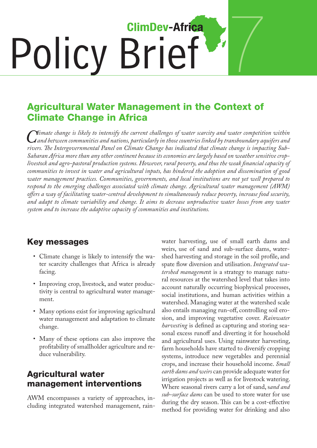# 7 **ClimDev-Africa** Policy Brief

## Agricultural Water Management in the Context of Climate Change in Africa

*Climate change is likely to intensify the current challenges of water scarcity and water competition within*<br>Composition communities and nations, particularly in those countries linked by transboundary aquifers and<br>rivers *and between communities and nations, particularly in those countries linked by transboundary aquifers and rivers. The Intergovernmental Panel on Climate Change has indicated that climate change is impacting Sub-Saharan Africa more than any other continent because its economies are largely based on weather sensitive croplivestock and agro-pastoral production systems. However, rural poverty, and thus the weak financial capacity of communities to invest in water and agricultural inputs, has hindered the adoption and dissemination of good water management practices. Communities, governments, and local institutions are not yet well prepared to respond to the emerging challenges associated with climate change. Agricultural water management (AWM) offers a way of facilitating water-centred development to simultaneously reduce poverty, increase food security, and adapt to climate variability and change. It aims to decrease unproductive water losses from any water system and to increase the adaptive capacity of communities and institutions.*

### Key messages

- • Climate change is likely to intensify the water scarcity challenges that Africa is already facing.
- Improving crop, livestock, and water productivity is central to agricultural water management.
- Many options exist for improving agricultural water management and adaptation to climate change.
- Many of these options can also improve the profitability of smallholder agriculture and reduce vulnerability.

### Agricultural water management interventions

AWM encompasses a variety of approaches, including integrated watershed management, rainwater harvesting, use of small earth dams and weirs, use of sand and sub-surface dams, watershed harvesting and storage in the soil profile, and spate flow diversion and utilisation. *Integrated watershed manageme*nt is a strategy to manage natural resources at the watershed level that takes into account naturally occurring biophysical processes, social institutions, and human activities within a watershed. Managing water at the watershed scale also entails managing run-off, controlling soil erosion, and improving vegetative cover. *Rainwater harvesting* is defined as capturing and storing seasonal excess runoff and diverting it for household and agricultural uses. Using rainwater harvesting, farm households have started to diversify cropping systems, introduce new vegetables and perennial crops, and increase their household income. *Small earth dams and weirs* can provide adequate water for irrigation projects as well as for livestock watering. Where seasonal rivers carry a lot of sand, s*and and sub-surface dams* can be used to store water for use during the dry season. This can be a cost-effective method for providing water for drinking and also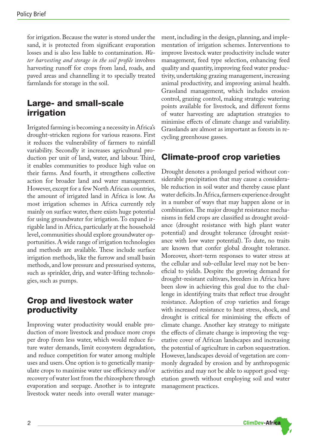for irrigation.Because the water is stored under the sand, it is protected from significant evaporation losses and is also less liable to contamination. *Water harvesting and storage in the soil profile* involves harvesting runoff for crops from land, roads, and paved areas and channelling it to specially treated farmlands for storage in the soil.

#### Large- and small-scale irrigation

Irrigated farming is becoming a necessity in Africa's drought-stricken regions for various reasons. First it reduces the vulnerability of farmers to rainfall variability. Secondly it increases agricultural production per unit of land, water, and labour. Third, it enables communities to produce high value on their farms. And fourth, it strengthens collective action for broader land and water management. However, except for a few North African countries, the amount of irrigated land in Africa is low. As most irrigation schemes in Africa currently rely mainly on surface water, there exists huge potential for using groundwater for irrigation. To expand irrigable land in Africa, particularly at the household level, communities should explore groundwater opportunities.A wide range of irrigation technologies and methods are available. These include surface irrigation methods, like the furrow and small basin methods, and low pressure and pressurised systems, such as sprinkler, drip, and water-lifting technologies, such as pumps.

#### Crop and livestock water productivity

Improving water productivity would enable production of more livestock and produce more crops per drop from less water, which would reduce future water demands, limit ecosystem degradation, and reduce competition for water among multiple uses and users. One option is to genetically manipulate crops to maximise water use efficiency and/or recovery of water lost from the rhizosphere through evaporation and seepage. Another is to integrate livestock water needs into overall water management, including in the design, planning, and implementation of irrigation schemes. Interventions to improve livestock water productivity include water management, feed type selection, enhancing feed quality and quantity, improving feed water productivity, undertaking grazing management, increasing animal productivity, and improving animal health. Grassland management, which includes erosion control, grazing control, making strategic watering points available for livestock, and different forms of water harvesting are adaptation strategies to minimise effects of climate change and variability. Grasslands are almost as important as forests in recycling greenhouse gasses.

#### Climate-proof crop varieties

Drought denotes a prolonged period without considerable precipitation that may cause a considerable reduction in soil water and thereby cause plant water deficits.In Africa,farmers experience drought in a number of ways that may happen alone or in combination.The major drought resistance mechanisms in field crops are classified as drought avoidance (drought resistance with high plant water potential) and drought tolerance (drought resistance with low water potential). To date, no traits are known that confer global drought tolerance. Moreover, short-term responses to water stress at the cellular and sub-cellular level may not be beneficial to yields. Despite the growing demand for drought-resistant cultivars, breeders in Africa have been slow in achieving this goal due to the challenge in identifying traits that reflect true drought resistance. Adoption of crop varieties and forage with increased resistance to heat stress, shock, and drought is critical for minimising the effects of climate change. Another key strategy to mitigate the effects of climate change is improving the vegetative cover of African landscapes and increasing the potential of agriculture in carbon sequestration. However, landscapes devoid of vegetation are commonly degraded by erosion and by anthropogenic activities and may not be able to support good vegetation growth without employing soil and water management practices.

**ClimDev-Africa**